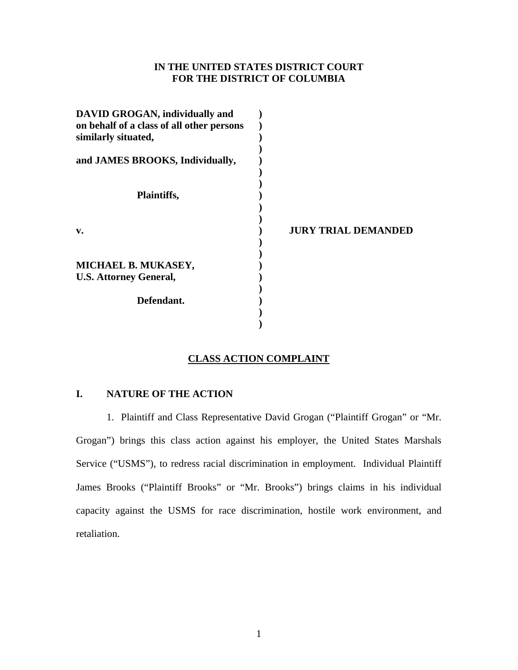## **IN THE UNITED STATES DISTRICT COURT FOR THE DISTRICT OF COLUMBIA**

| <b>JURY TRIAL DEMANDED</b> |
|----------------------------|
|                            |
|                            |
|                            |

# **CLASS ACTION COMPLAINT**

## **I. NATURE OF THE ACTION**

1. Plaintiff and Class Representative David Grogan ("Plaintiff Grogan" or "Mr. Grogan") brings this class action against his employer, the United States Marshals Service ("USMS"), to redress racial discrimination in employment. Individual Plaintiff James Brooks ("Plaintiff Brooks" or "Mr. Brooks") brings claims in his individual capacity against the USMS for race discrimination, hostile work environment, and retaliation.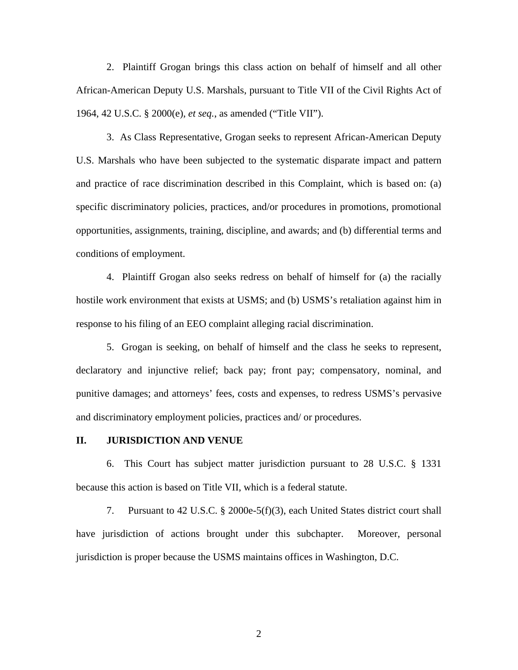2. Plaintiff Grogan brings this class action on behalf of himself and all other African-American Deputy U.S. Marshals, pursuant to Title VII of the Civil Rights Act of 1964, 42 U.S.C. § 2000(e), *et seq.*, as amended ("Title VII").

3. As Class Representative, Grogan seeks to represent African-American Deputy U.S. Marshals who have been subjected to the systematic disparate impact and pattern and practice of race discrimination described in this Complaint, which is based on: (a) specific discriminatory policies, practices, and/or procedures in promotions, promotional opportunities, assignments, training, discipline, and awards; and (b) differential terms and conditions of employment.

4. Plaintiff Grogan also seeks redress on behalf of himself for (a) the racially hostile work environment that exists at USMS; and (b) USMS's retaliation against him in response to his filing of an EEO complaint alleging racial discrimination.

5. Grogan is seeking, on behalf of himself and the class he seeks to represent, declaratory and injunctive relief; back pay; front pay; compensatory, nominal, and punitive damages; and attorneys' fees, costs and expenses, to redress USMS's pervasive and discriminatory employment policies, practices and/ or procedures.

## **II. JURISDICTION AND VENUE**

6. This Court has subject matter jurisdiction pursuant to 28 U.S.C. § 1331 because this action is based on Title VII, which is a federal statute.

7. Pursuant to 42 U.S.C. § 2000e-5(f)(3), each United States district court shall have jurisdiction of actions brought under this subchapter. Moreover, personal jurisdiction is proper because the USMS maintains offices in Washington, D.C.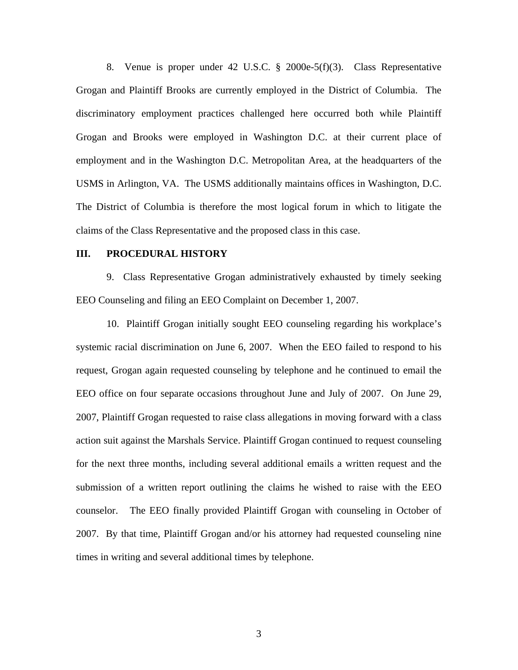8. Venue is proper under 42 U.S.C. § 2000e-5(f)(3). Class Representative Grogan and Plaintiff Brooks are currently employed in the District of Columbia. The discriminatory employment practices challenged here occurred both while Plaintiff Grogan and Brooks were employed in Washington D.C. at their current place of employment and in the Washington D.C. Metropolitan Area, at the headquarters of the USMS in Arlington, VA. The USMS additionally maintains offices in Washington, D.C. The District of Columbia is therefore the most logical forum in which to litigate the claims of the Class Representative and the proposed class in this case.

## **III. PROCEDURAL HISTORY**

9. Class Representative Grogan administratively exhausted by timely seeking EEO Counseling and filing an EEO Complaint on December 1, 2007.

10. Plaintiff Grogan initially sought EEO counseling regarding his workplace's systemic racial discrimination on June 6, 2007. When the EEO failed to respond to his request, Grogan again requested counseling by telephone and he continued to email the EEO office on four separate occasions throughout June and July of 2007. On June 29, 2007, Plaintiff Grogan requested to raise class allegations in moving forward with a class action suit against the Marshals Service. Plaintiff Grogan continued to request counseling for the next three months, including several additional emails a written request and the submission of a written report outlining the claims he wished to raise with the EEO counselor. The EEO finally provided Plaintiff Grogan with counseling in October of 2007. By that time, Plaintiff Grogan and/or his attorney had requested counseling nine times in writing and several additional times by telephone.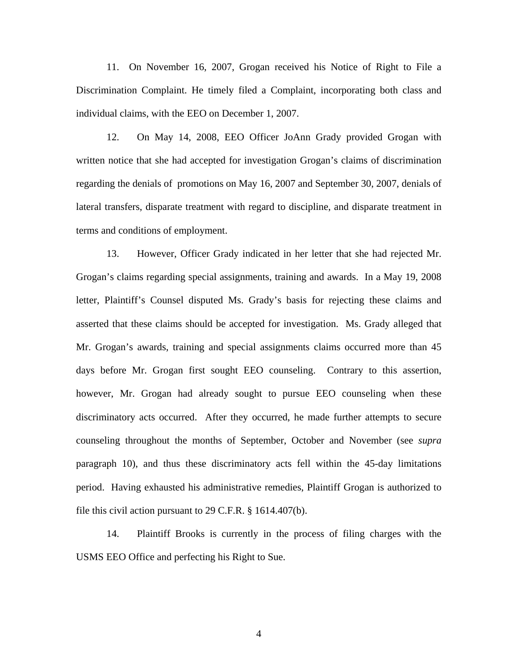11. On November 16, 2007, Grogan received his Notice of Right to File a Discrimination Complaint. He timely filed a Complaint, incorporating both class and individual claims, with the EEO on December 1, 2007.

12. On May 14, 2008, EEO Officer JoAnn Grady provided Grogan with written notice that she had accepted for investigation Grogan's claims of discrimination regarding the denials of promotions on May 16, 2007 and September 30, 2007, denials of lateral transfers, disparate treatment with regard to discipline, and disparate treatment in terms and conditions of employment.

13. However, Officer Grady indicated in her letter that she had rejected Mr. Grogan's claims regarding special assignments, training and awards. In a May 19, 2008 letter, Plaintiff's Counsel disputed Ms. Grady's basis for rejecting these claims and asserted that these claims should be accepted for investigation. Ms. Grady alleged that Mr. Grogan's awards, training and special assignments claims occurred more than 45 days before Mr. Grogan first sought EEO counseling. Contrary to this assertion, however, Mr. Grogan had already sought to pursue EEO counseling when these discriminatory acts occurred. After they occurred, he made further attempts to secure counseling throughout the months of September, October and November (see *supra* paragraph 10), and thus these discriminatory acts fell within the 45-day limitations period. Having exhausted his administrative remedies, Plaintiff Grogan is authorized to file this civil action pursuant to 29 C.F.R. § 1614.407(b).

14. Plaintiff Brooks is currently in the process of filing charges with the USMS EEO Office and perfecting his Right to Sue.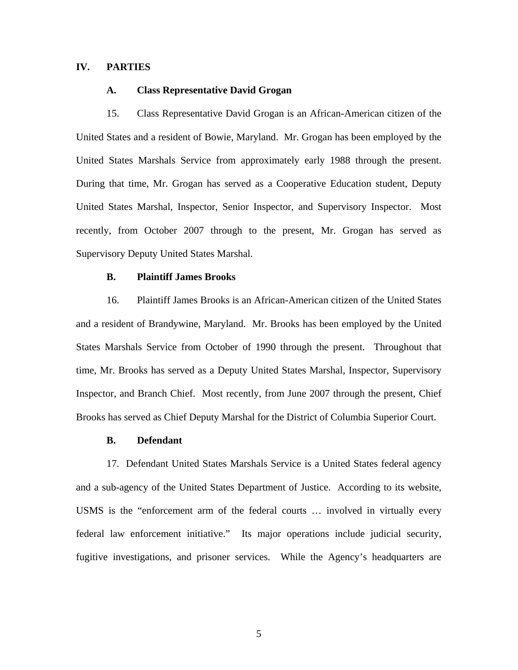## **IV. PARTIES**

## **A. Class Representative David Grogan**

 15. Class Representative David Grogan is an African-American citizen of the United States and a resident of Bowie, Maryland. Mr. Grogan has been employed by the United States Marshals Service from approximately early 1988 through the present. During that time, Mr. Grogan has served as a Cooperative Education student, Deputy United States Marshal, Inspector, Senior Inspector, and Supervisory Inspector. Most recently, from October 2007 through to the present, Mr. Grogan has served as Supervisory Deputy United States Marshal.

## **B. Plaintiff James Brooks**

 16. Plaintiff James Brooks is an African-American citizen of the United States and a resident of Brandywine, Maryland. Mr. Brooks has been employed by the United States Marshals Service from October of 1990 through the present. Throughout that time, Mr. Brooks has served as a Deputy United States Marshal, Inspector, Supervisory Inspector, and Branch Chief. Most recently, from June 2007 through the present, Chief Brooks has served as Chief Deputy Marshal for the District of Columbia Superior Court.

#### **B. Defendant**

17. Defendant United States Marshals Service is a United States federal agency and a sub-agency of the United States Department of Justice. According to its website, USMS is the "enforcement arm of the federal courts … involved in virtually every federal law enforcement initiative." Its major operations include judicial security, fugitive investigations, and prisoner services. While the Agency's headquarters are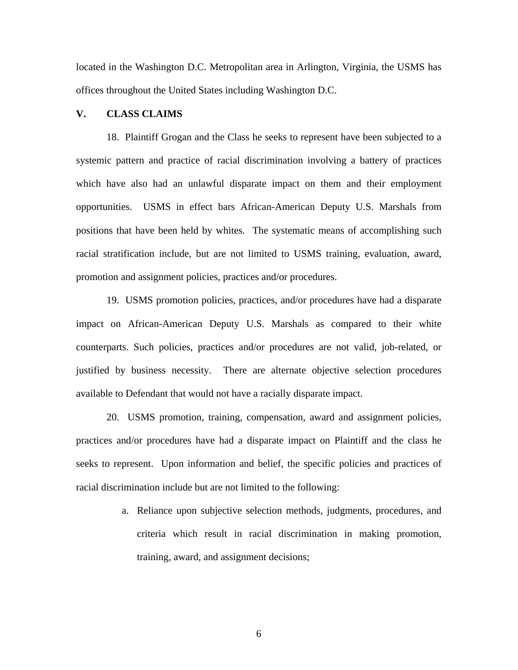located in the Washington D.C. Metropolitan area in Arlington, Virginia, the USMS has offices throughout the United States including Washington D.C.

## **V. CLASS CLAIMS**

18. Plaintiff Grogan and the Class he seeks to represent have been subjected to a systemic pattern and practice of racial discrimination involving a battery of practices which have also had an unlawful disparate impact on them and their employment opportunities. USMS in effect bars African-American Deputy U.S. Marshals from positions that have been held by whites. The systematic means of accomplishing such racial stratification include, but are not limited to USMS training, evaluation, award, promotion and assignment policies, practices and/or procedures.

19. USMS promotion policies, practices, and/or procedures have had a disparate impact on African-American Deputy U.S. Marshals as compared to their white counterparts. Such policies, practices and/or procedures are not valid, job-related, or justified by business necessity. There are alternate objective selection procedures available to Defendant that would not have a racially disparate impact.

20. USMS promotion, training, compensation, award and assignment policies, practices and/or procedures have had a disparate impact on Plaintiff and the class he seeks to represent. Upon information and belief, the specific policies and practices of racial discrimination include but are not limited to the following:

> a. Reliance upon subjective selection methods, judgments, procedures, and criteria which result in racial discrimination in making promotion, training, award, and assignment decisions;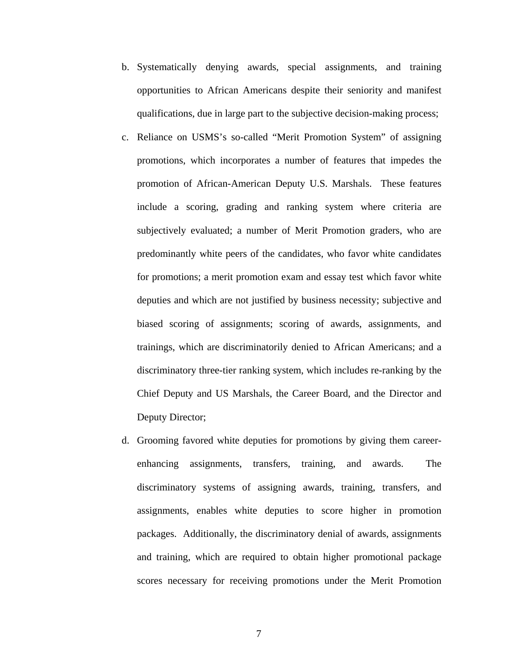- b. Systematically denying awards, special assignments, and training opportunities to African Americans despite their seniority and manifest qualifications, due in large part to the subjective decision-making process;
- c. Reliance on USMS's so-called "Merit Promotion System" of assigning promotions, which incorporates a number of features that impedes the promotion of African-American Deputy U.S. Marshals. These features include a scoring, grading and ranking system where criteria are subjectively evaluated; a number of Merit Promotion graders, who are predominantly white peers of the candidates, who favor white candidates for promotions; a merit promotion exam and essay test which favor white deputies and which are not justified by business necessity; subjective and biased scoring of assignments; scoring of awards, assignments, and trainings, which are discriminatorily denied to African Americans; and a discriminatory three-tier ranking system, which includes re-ranking by the Chief Deputy and US Marshals, the Career Board, and the Director and Deputy Director;
- d. Grooming favored white deputies for promotions by giving them careerenhancing assignments, transfers, training, and awards. The discriminatory systems of assigning awards, training, transfers, and assignments, enables white deputies to score higher in promotion packages. Additionally, the discriminatory denial of awards, assignments and training, which are required to obtain higher promotional package scores necessary for receiving promotions under the Merit Promotion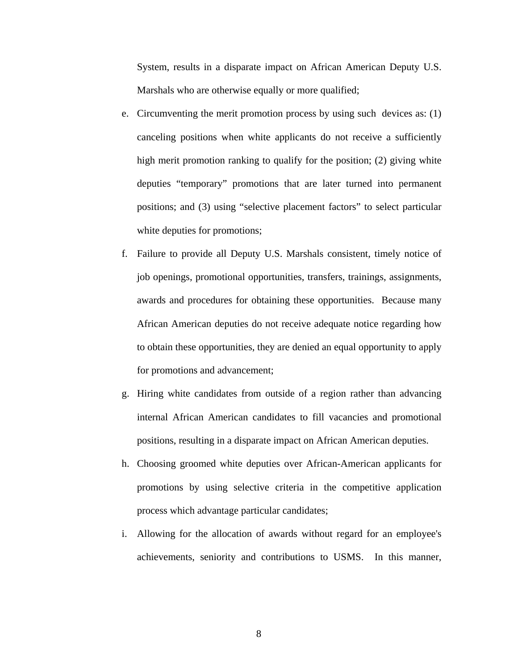System, results in a disparate impact on African American Deputy U.S. Marshals who are otherwise equally or more qualified;

- e. Circumventing the merit promotion process by using such devices as: (1) canceling positions when white applicants do not receive a sufficiently high merit promotion ranking to qualify for the position; (2) giving white deputies "temporary" promotions that are later turned into permanent positions; and (3) using "selective placement factors" to select particular white deputies for promotions;
- f. Failure to provide all Deputy U.S. Marshals consistent, timely notice of job openings, promotional opportunities, transfers, trainings, assignments, awards and procedures for obtaining these opportunities. Because many African American deputies do not receive adequate notice regarding how to obtain these opportunities, they are denied an equal opportunity to apply for promotions and advancement;
- g. Hiring white candidates from outside of a region rather than advancing internal African American candidates to fill vacancies and promotional positions, resulting in a disparate impact on African American deputies.
- h. Choosing groomed white deputies over African-American applicants for promotions by using selective criteria in the competitive application process which advantage particular candidates;
- i. Allowing for the allocation of awards without regard for an employee's achievements, seniority and contributions to USMS. In this manner,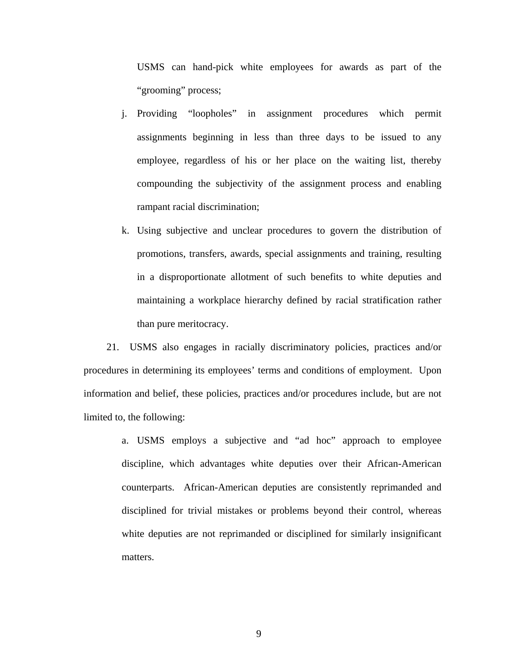USMS can hand-pick white employees for awards as part of the "grooming" process;

- j. Providing "loopholes" in assignment procedures which permit assignments beginning in less than three days to be issued to any employee, regardless of his or her place on the waiting list, thereby compounding the subjectivity of the assignment process and enabling rampant racial discrimination;
- k. Using subjective and unclear procedures to govern the distribution of promotions, transfers, awards, special assignments and training, resulting in a disproportionate allotment of such benefits to white deputies and maintaining a workplace hierarchy defined by racial stratification rather than pure meritocracy.

21. USMS also engages in racially discriminatory policies, practices and/or procedures in determining its employees' terms and conditions of employment. Upon information and belief, these policies, practices and/or procedures include, but are not limited to, the following:

> a. USMS employs a subjective and "ad hoc" approach to employee discipline, which advantages white deputies over their African-American counterparts. African-American deputies are consistently reprimanded and disciplined for trivial mistakes or problems beyond their control, whereas white deputies are not reprimanded or disciplined for similarly insignificant matters.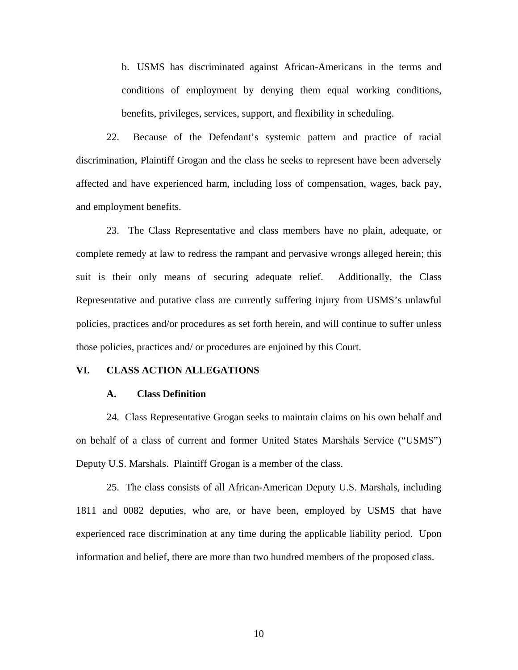b. USMS has discriminated against African-Americans in the terms and conditions of employment by denying them equal working conditions, benefits, privileges, services, support, and flexibility in scheduling.

22. Because of the Defendant's systemic pattern and practice of racial discrimination, Plaintiff Grogan and the class he seeks to represent have been adversely affected and have experienced harm, including loss of compensation, wages, back pay, and employment benefits.

23. The Class Representative and class members have no plain, adequate, or complete remedy at law to redress the rampant and pervasive wrongs alleged herein; this suit is their only means of securing adequate relief. Additionally, the Class Representative and putative class are currently suffering injury from USMS's unlawful policies, practices and/or procedures as set forth herein, and will continue to suffer unless those policies, practices and/ or procedures are enjoined by this Court.

### **VI. CLASS ACTION ALLEGATIONS**

#### **A. Class Definition**

24. Class Representative Grogan seeks to maintain claims on his own behalf and on behalf of a class of current and former United States Marshals Service ("USMS") Deputy U.S. Marshals. Plaintiff Grogan is a member of the class.

25. The class consists of all African-American Deputy U.S. Marshals, including 1811 and 0082 deputies, who are, or have been, employed by USMS that have experienced race discrimination at any time during the applicable liability period. Upon information and belief, there are more than two hundred members of the proposed class.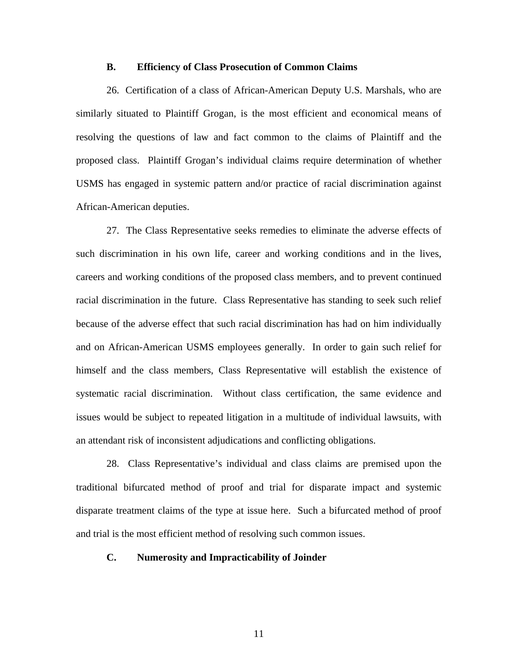#### **B. Efficiency of Class Prosecution of Common Claims**

 26. Certification of a class of African-American Deputy U.S. Marshals, who are similarly situated to Plaintiff Grogan, is the most efficient and economical means of resolving the questions of law and fact common to the claims of Plaintiff and the proposed class. Plaintiff Grogan's individual claims require determination of whether USMS has engaged in systemic pattern and/or practice of racial discrimination against African-American deputies.

27. The Class Representative seeks remedies to eliminate the adverse effects of such discrimination in his own life, career and working conditions and in the lives, careers and working conditions of the proposed class members, and to prevent continued racial discrimination in the future. Class Representative has standing to seek such relief because of the adverse effect that such racial discrimination has had on him individually and on African-American USMS employees generally. In order to gain such relief for himself and the class members, Class Representative will establish the existence of systematic racial discrimination. Without class certification, the same evidence and issues would be subject to repeated litigation in a multitude of individual lawsuits, with an attendant risk of inconsistent adjudications and conflicting obligations.

28. Class Representative's individual and class claims are premised upon the traditional bifurcated method of proof and trial for disparate impact and systemic disparate treatment claims of the type at issue here. Such a bifurcated method of proof and trial is the most efficient method of resolving such common issues.

## **C. Numerosity and Impracticability of Joinder**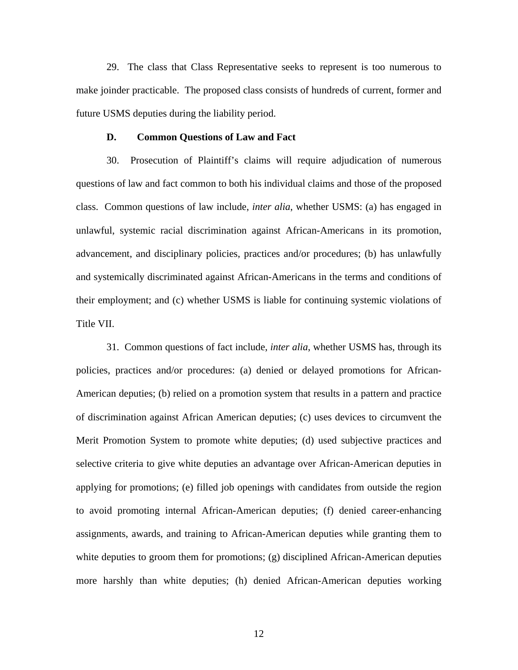29. The class that Class Representative seeks to represent is too numerous to make joinder practicable. The proposed class consists of hundreds of current, former and future USMS deputies during the liability period.

## **D. Common Questions of Law and Fact**

 30. Prosecution of Plaintiff's claims will require adjudication of numerous questions of law and fact common to both his individual claims and those of the proposed class. Common questions of law include, *inter alia*, whether USMS: (a) has engaged in unlawful, systemic racial discrimination against African-Americans in its promotion, advancement, and disciplinary policies, practices and/or procedures; (b) has unlawfully and systemically discriminated against African-Americans in the terms and conditions of their employment; and (c) whether USMS is liable for continuing systemic violations of Title VII.

 31. Common questions of fact include, *inter alia*, whether USMS has, through its policies, practices and/or procedures: (a) denied or delayed promotions for African-American deputies; (b) relied on a promotion system that results in a pattern and practice of discrimination against African American deputies; (c) uses devices to circumvent the Merit Promotion System to promote white deputies; (d) used subjective practices and selective criteria to give white deputies an advantage over African-American deputies in applying for promotions; (e) filled job openings with candidates from outside the region to avoid promoting internal African-American deputies; (f) denied career-enhancing assignments, awards, and training to African-American deputies while granting them to white deputies to groom them for promotions; (g) disciplined African-American deputies more harshly than white deputies; (h) denied African-American deputies working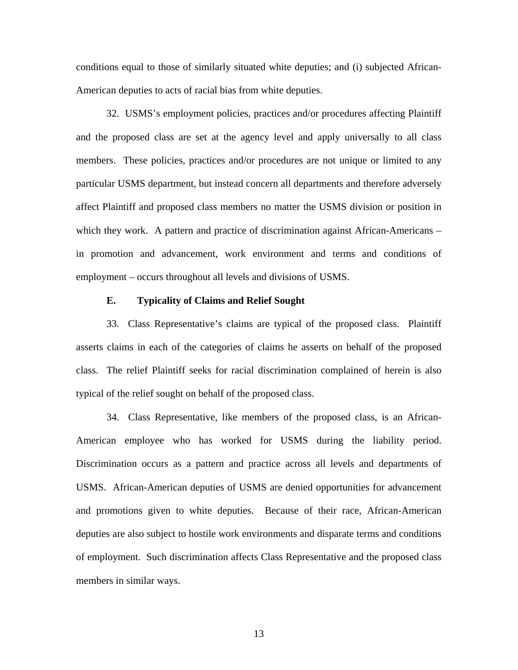conditions equal to those of similarly situated white deputies; and (i) subjected African-American deputies to acts of racial bias from white deputies.

 32. USMS's employment policies, practices and/or procedures affecting Plaintiff and the proposed class are set at the agency level and apply universally to all class members. These policies, practices and/or procedures are not unique or limited to any particular USMS department, but instead concern all departments and therefore adversely affect Plaintiff and proposed class members no matter the USMS division or position in which they work. A pattern and practice of discrimination against African-Americans – in promotion and advancement, work environment and terms and conditions of employment – occurs throughout all levels and divisions of USMS.

## **E. Typicality of Claims and Relief Sought**

 33. Class Representative's claims are typical of the proposed class. Plaintiff asserts claims in each of the categories of claims he asserts on behalf of the proposed class. The relief Plaintiff seeks for racial discrimination complained of herein is also typical of the relief sought on behalf of the proposed class.

 34. Class Representative, like members of the proposed class, is an African-American employee who has worked for USMS during the liability period. Discrimination occurs as a pattern and practice across all levels and departments of USMS. African-American deputies of USMS are denied opportunities for advancement and promotions given to white deputies. Because of their race, African-American deputies are also subject to hostile work environments and disparate terms and conditions of employment. Such discrimination affects Class Representative and the proposed class members in similar ways.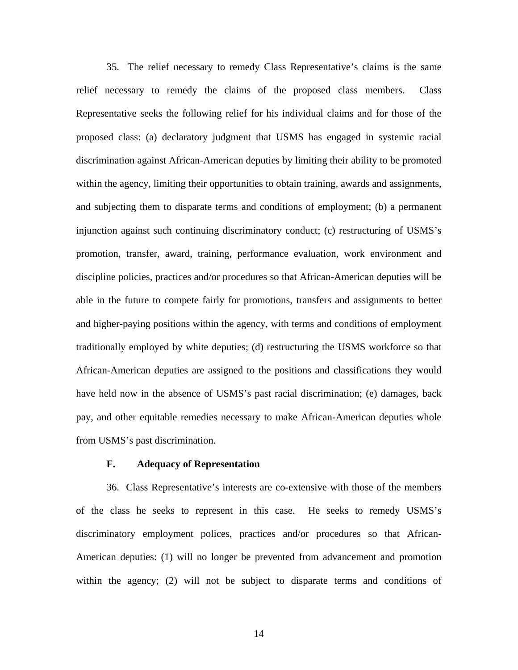35. The relief necessary to remedy Class Representative's claims is the same relief necessary to remedy the claims of the proposed class members. Class Representative seeks the following relief for his individual claims and for those of the proposed class: (a) declaratory judgment that USMS has engaged in systemic racial discrimination against African-American deputies by limiting their ability to be promoted within the agency, limiting their opportunities to obtain training, awards and assignments, and subjecting them to disparate terms and conditions of employment; (b) a permanent injunction against such continuing discriminatory conduct; (c) restructuring of USMS's promotion, transfer, award, training, performance evaluation, work environment and discipline policies, practices and/or procedures so that African-American deputies will be able in the future to compete fairly for promotions, transfers and assignments to better and higher-paying positions within the agency, with terms and conditions of employment traditionally employed by white deputies; (d) restructuring the USMS workforce so that African-American deputies are assigned to the positions and classifications they would have held now in the absence of USMS's past racial discrimination; (e) damages, back pay, and other equitable remedies necessary to make African-American deputies whole from USMS's past discrimination.

## **F. Adequacy of Representation**

 36. Class Representative's interests are co-extensive with those of the members of the class he seeks to represent in this case. He seeks to remedy USMS's discriminatory employment polices, practices and/or procedures so that African-American deputies: (1) will no longer be prevented from advancement and promotion within the agency; (2) will not be subject to disparate terms and conditions of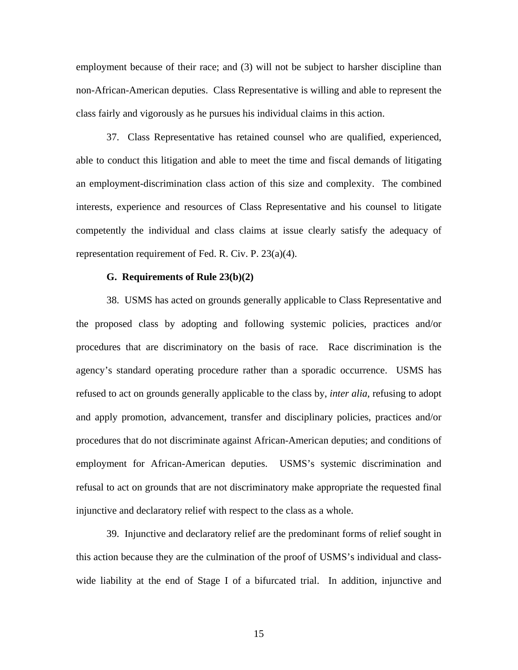employment because of their race; and (3) will not be subject to harsher discipline than non-African-American deputies. Class Representative is willing and able to represent the class fairly and vigorously as he pursues his individual claims in this action.

 37. Class Representative has retained counsel who are qualified, experienced, able to conduct this litigation and able to meet the time and fiscal demands of litigating an employment-discrimination class action of this size and complexity. The combined interests, experience and resources of Class Representative and his counsel to litigate competently the individual and class claims at issue clearly satisfy the adequacy of representation requirement of Fed. R. Civ. P. 23(a)(4).

#### **G. Requirements of Rule 23(b)(2)**

 38. USMS has acted on grounds generally applicable to Class Representative and the proposed class by adopting and following systemic policies, practices and/or procedures that are discriminatory on the basis of race. Race discrimination is the agency's standard operating procedure rather than a sporadic occurrence. USMS has refused to act on grounds generally applicable to the class by, *inter alia*, refusing to adopt and apply promotion, advancement, transfer and disciplinary policies, practices and/or procedures that do not discriminate against African-American deputies; and conditions of employment for African-American deputies. USMS's systemic discrimination and refusal to act on grounds that are not discriminatory make appropriate the requested final injunctive and declaratory relief with respect to the class as a whole.

 39. Injunctive and declaratory relief are the predominant forms of relief sought in this action because they are the culmination of the proof of USMS's individual and classwide liability at the end of Stage I of a bifurcated trial. In addition, injunctive and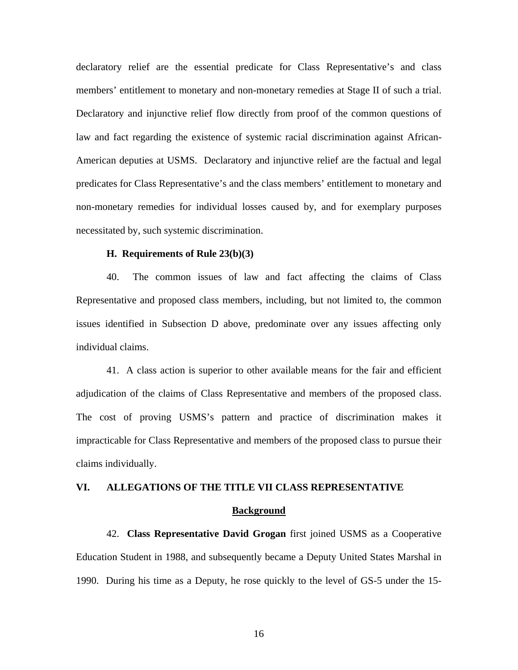declaratory relief are the essential predicate for Class Representative's and class members' entitlement to monetary and non-monetary remedies at Stage II of such a trial. Declaratory and injunctive relief flow directly from proof of the common questions of law and fact regarding the existence of systemic racial discrimination against African-American deputies at USMS. Declaratory and injunctive relief are the factual and legal predicates for Class Representative's and the class members' entitlement to monetary and non-monetary remedies for individual losses caused by, and for exemplary purposes necessitated by, such systemic discrimination.

## **H. Requirements of Rule 23(b)(3)**

 40. The common issues of law and fact affecting the claims of Class Representative and proposed class members, including, but not limited to, the common issues identified in Subsection D above, predominate over any issues affecting only individual claims.

 41. A class action is superior to other available means for the fair and efficient adjudication of the claims of Class Representative and members of the proposed class. The cost of proving USMS's pattern and practice of discrimination makes it impracticable for Class Representative and members of the proposed class to pursue their claims individually.

## **VI. ALLEGATIONS OF THE TITLE VII CLASS REPRESENTATIVE**

#### **Background**

42. **Class Representative David Grogan** first joined USMS as a Cooperative Education Student in 1988, and subsequently became a Deputy United States Marshal in 1990. During his time as a Deputy, he rose quickly to the level of GS-5 under the 15-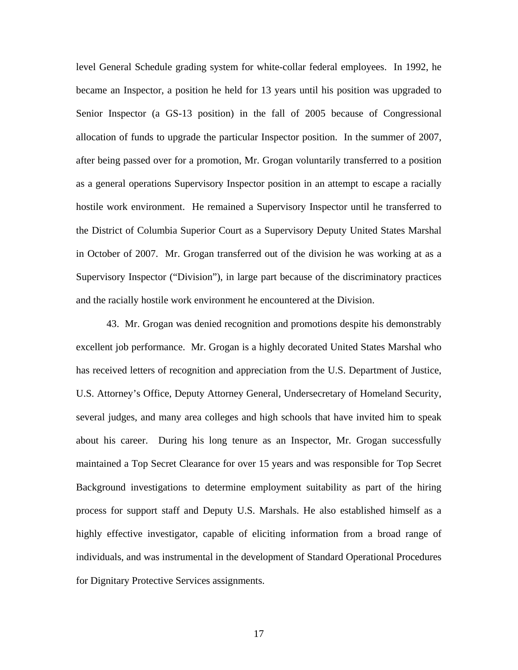level General Schedule grading system for white-collar federal employees. In 1992, he became an Inspector, a position he held for 13 years until his position was upgraded to Senior Inspector (a GS-13 position) in the fall of 2005 because of Congressional allocation of funds to upgrade the particular Inspector position. In the summer of 2007, after being passed over for a promotion, Mr. Grogan voluntarily transferred to a position as a general operations Supervisory Inspector position in an attempt to escape a racially hostile work environment. He remained a Supervisory Inspector until he transferred to the District of Columbia Superior Court as a Supervisory Deputy United States Marshal in October of 2007. Mr. Grogan transferred out of the division he was working at as a Supervisory Inspector ("Division"), in large part because of the discriminatory practices and the racially hostile work environment he encountered at the Division.

43. Mr. Grogan was denied recognition and promotions despite his demonstrably excellent job performance. Mr. Grogan is a highly decorated United States Marshal who has received letters of recognition and appreciation from the U.S. Department of Justice, U.S. Attorney's Office, Deputy Attorney General, Undersecretary of Homeland Security, several judges, and many area colleges and high schools that have invited him to speak about his career. During his long tenure as an Inspector, Mr. Grogan successfully maintained a Top Secret Clearance for over 15 years and was responsible for Top Secret Background investigations to determine employment suitability as part of the hiring process for support staff and Deputy U.S. Marshals. He also established himself as a highly effective investigator, capable of eliciting information from a broad range of individuals, and was instrumental in the development of Standard Operational Procedures for Dignitary Protective Services assignments.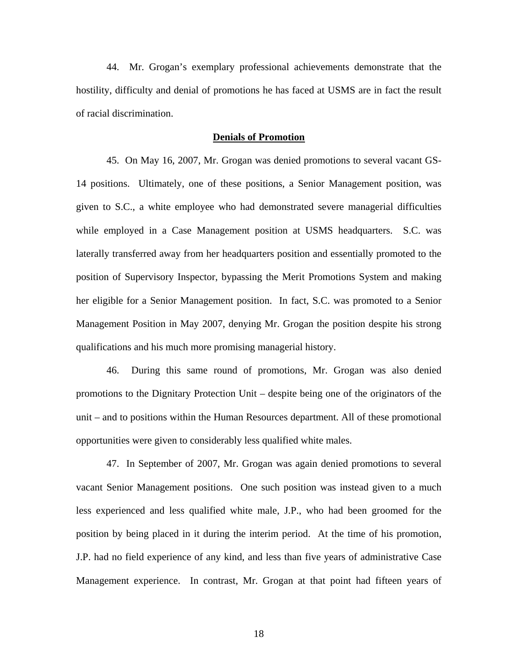44. Mr. Grogan's exemplary professional achievements demonstrate that the hostility, difficulty and denial of promotions he has faced at USMS are in fact the result of racial discrimination.

#### **Denials of Promotion**

45. On May 16, 2007, Mr. Grogan was denied promotions to several vacant GS-14 positions. Ultimately, one of these positions, a Senior Management position, was given to S.C., a white employee who had demonstrated severe managerial difficulties while employed in a Case Management position at USMS headquarters. S.C. was laterally transferred away from her headquarters position and essentially promoted to the position of Supervisory Inspector, bypassing the Merit Promotions System and making her eligible for a Senior Management position. In fact, S.C. was promoted to a Senior Management Position in May 2007, denying Mr. Grogan the position despite his strong qualifications and his much more promising managerial history.

46. During this same round of promotions, Mr. Grogan was also denied promotions to the Dignitary Protection Unit – despite being one of the originators of the unit – and to positions within the Human Resources department. All of these promotional opportunities were given to considerably less qualified white males.

47. In September of 2007, Mr. Grogan was again denied promotions to several vacant Senior Management positions. One such position was instead given to a much less experienced and less qualified white male, J.P., who had been groomed for the position by being placed in it during the interim period. At the time of his promotion, J.P. had no field experience of any kind, and less than five years of administrative Case Management experience. In contrast, Mr. Grogan at that point had fifteen years of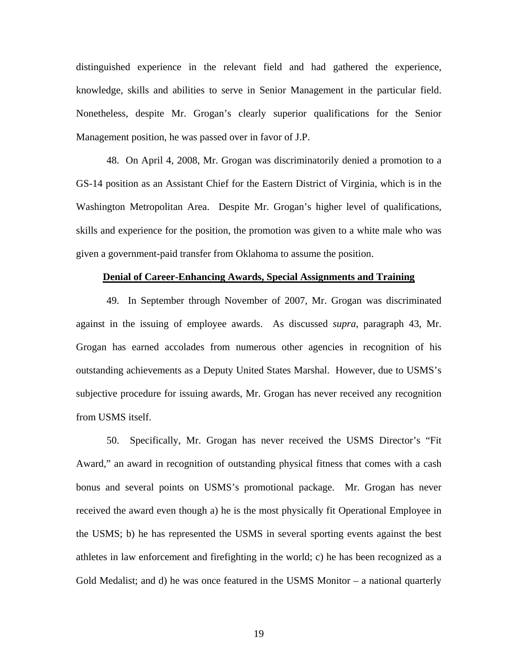distinguished experience in the relevant field and had gathered the experience, knowledge, skills and abilities to serve in Senior Management in the particular field. Nonetheless, despite Mr. Grogan's clearly superior qualifications for the Senior Management position, he was passed over in favor of J.P.

48. On April 4, 2008, Mr. Grogan was discriminatorily denied a promotion to a GS-14 position as an Assistant Chief for the Eastern District of Virginia, which is in the Washington Metropolitan Area. Despite Mr. Grogan's higher level of qualifications, skills and experience for the position, the promotion was given to a white male who was given a government-paid transfer from Oklahoma to assume the position.

#### **Denial of Career-Enhancing Awards, Special Assignments and Training**

49. In September through November of 2007, Mr. Grogan was discriminated against in the issuing of employee awards. As discussed *supra*, paragraph 43, Mr. Grogan has earned accolades from numerous other agencies in recognition of his outstanding achievements as a Deputy United States Marshal. However, due to USMS's subjective procedure for issuing awards, Mr. Grogan has never received any recognition from USMS itself.

50. Specifically, Mr. Grogan has never received the USMS Director's "Fit Award," an award in recognition of outstanding physical fitness that comes with a cash bonus and several points on USMS's promotional package. Mr. Grogan has never received the award even though a) he is the most physically fit Operational Employee in the USMS; b) he has represented the USMS in several sporting events against the best athletes in law enforcement and firefighting in the world; c) he has been recognized as a Gold Medalist; and d) he was once featured in the USMS Monitor – a national quarterly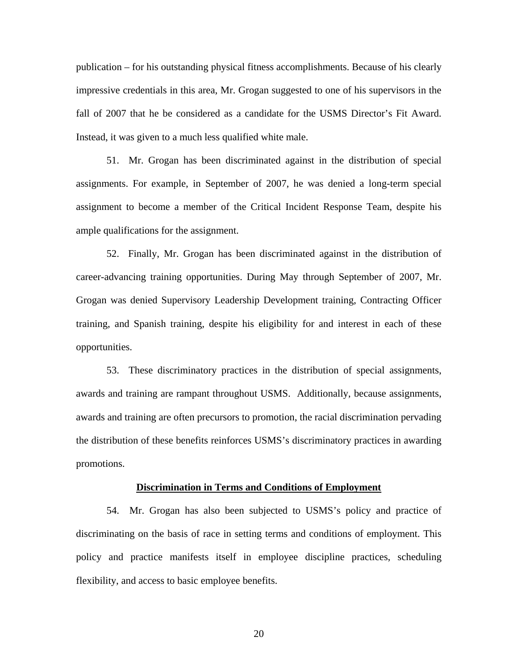publication – for his outstanding physical fitness accomplishments. Because of his clearly impressive credentials in this area, Mr. Grogan suggested to one of his supervisors in the fall of 2007 that he be considered as a candidate for the USMS Director's Fit Award. Instead, it was given to a much less qualified white male.

51. Mr. Grogan has been discriminated against in the distribution of special assignments. For example, in September of 2007, he was denied a long-term special assignment to become a member of the Critical Incident Response Team, despite his ample qualifications for the assignment.

52. Finally, Mr. Grogan has been discriminated against in the distribution of career-advancing training opportunities. During May through September of 2007, Mr. Grogan was denied Supervisory Leadership Development training, Contracting Officer training, and Spanish training, despite his eligibility for and interest in each of these opportunities.

53. These discriminatory practices in the distribution of special assignments, awards and training are rampant throughout USMS. Additionally, because assignments, awards and training are often precursors to promotion, the racial discrimination pervading the distribution of these benefits reinforces USMS's discriminatory practices in awarding promotions.

#### **Discrimination in Terms and Conditions of Employment**

54. Mr. Grogan has also been subjected to USMS's policy and practice of discriminating on the basis of race in setting terms and conditions of employment. This policy and practice manifests itself in employee discipline practices, scheduling flexibility, and access to basic employee benefits.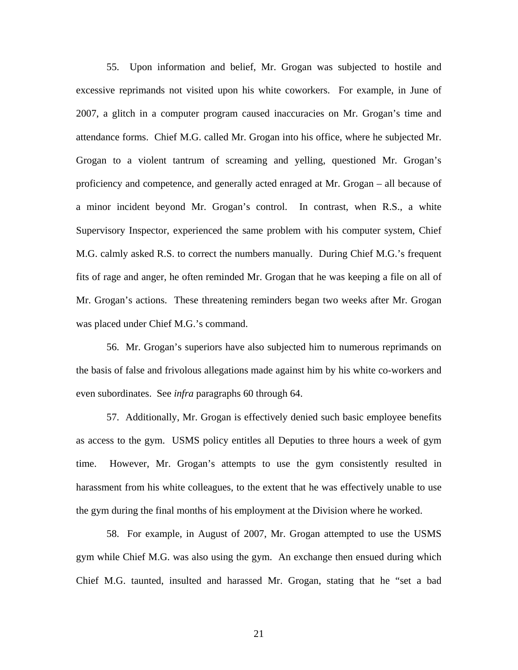55. Upon information and belief, Mr. Grogan was subjected to hostile and excessive reprimands not visited upon his white coworkers. For example, in June of 2007, a glitch in a computer program caused inaccuracies on Mr. Grogan's time and attendance forms. Chief M.G. called Mr. Grogan into his office, where he subjected Mr. Grogan to a violent tantrum of screaming and yelling, questioned Mr. Grogan's proficiency and competence, and generally acted enraged at Mr. Grogan – all because of a minor incident beyond Mr. Grogan's control. In contrast, when R.S., a white Supervisory Inspector, experienced the same problem with his computer system, Chief M.G. calmly asked R.S. to correct the numbers manually. During Chief M.G.'s frequent fits of rage and anger, he often reminded Mr. Grogan that he was keeping a file on all of Mr. Grogan's actions. These threatening reminders began two weeks after Mr. Grogan was placed under Chief M.G.'s command.

56. Mr. Grogan's superiors have also subjected him to numerous reprimands on the basis of false and frivolous allegations made against him by his white co-workers and even subordinates. See *infra* paragraphs 60 through 64.

57. Additionally, Mr. Grogan is effectively denied such basic employee benefits as access to the gym. USMS policy entitles all Deputies to three hours a week of gym time. However, Mr. Grogan's attempts to use the gym consistently resulted in harassment from his white colleagues, to the extent that he was effectively unable to use the gym during the final months of his employment at the Division where he worked.

58. For example, in August of 2007, Mr. Grogan attempted to use the USMS gym while Chief M.G. was also using the gym. An exchange then ensued during which Chief M.G. taunted, insulted and harassed Mr. Grogan, stating that he "set a bad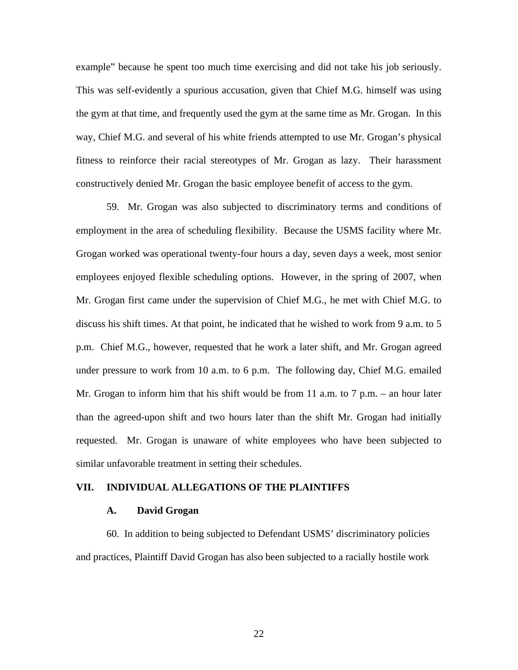example" because he spent too much time exercising and did not take his job seriously. This was self-evidently a spurious accusation, given that Chief M.G. himself was using the gym at that time, and frequently used the gym at the same time as Mr. Grogan. In this way, Chief M.G. and several of his white friends attempted to use Mr. Grogan's physical fitness to reinforce their racial stereotypes of Mr. Grogan as lazy. Their harassment constructively denied Mr. Grogan the basic employee benefit of access to the gym.

59. Mr. Grogan was also subjected to discriminatory terms and conditions of employment in the area of scheduling flexibility. Because the USMS facility where Mr. Grogan worked was operational twenty-four hours a day, seven days a week, most senior employees enjoyed flexible scheduling options. However, in the spring of 2007, when Mr. Grogan first came under the supervision of Chief M.G., he met with Chief M.G. to discuss his shift times. At that point, he indicated that he wished to work from 9 a.m. to 5 p.m. Chief M.G., however, requested that he work a later shift, and Mr. Grogan agreed under pressure to work from 10 a.m. to 6 p.m. The following day, Chief M.G. emailed Mr. Grogan to inform him that his shift would be from 11 a.m. to 7 p.m. – an hour later than the agreed-upon shift and two hours later than the shift Mr. Grogan had initially requested. Mr. Grogan is unaware of white employees who have been subjected to similar unfavorable treatment in setting their schedules.

## **VII. INDIVIDUAL ALLEGATIONS OF THE PLAINTIFFS**

## **A. David Grogan**

60. In addition to being subjected to Defendant USMS' discriminatory policies and practices, Plaintiff David Grogan has also been subjected to a racially hostile work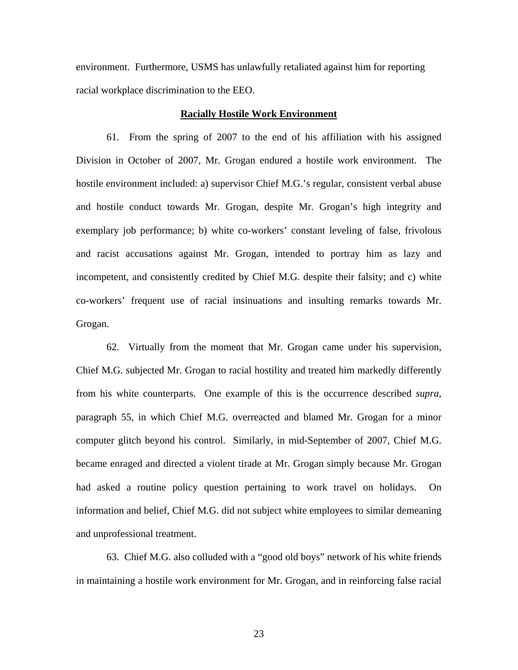environment. Furthermore, USMS has unlawfully retaliated against him for reporting racial workplace discrimination to the EEO.

#### **Racially Hostile Work Environment**

61. From the spring of 2007 to the end of his affiliation with his assigned Division in October of 2007, Mr. Grogan endured a hostile work environment. The hostile environment included: a) supervisor Chief M.G.'s regular, consistent verbal abuse and hostile conduct towards Mr. Grogan, despite Mr. Grogan's high integrity and exemplary job performance; b) white co-workers' constant leveling of false, frivolous and racist accusations against Mr. Grogan, intended to portray him as lazy and incompetent, and consistently credited by Chief M.G. despite their falsity; and c) white co-workers' frequent use of racial insinuations and insulting remarks towards Mr. Grogan.

62. Virtually from the moment that Mr. Grogan came under his supervision, Chief M.G. subjected Mr. Grogan to racial hostility and treated him markedly differently from his white counterparts. One example of this is the occurrence described *supra*, paragraph 55, in which Chief M.G. overreacted and blamed Mr. Grogan for a minor computer glitch beyond his control. Similarly, in mid-September of 2007, Chief M.G. became enraged and directed a violent tirade at Mr. Grogan simply because Mr. Grogan had asked a routine policy question pertaining to work travel on holidays. On information and belief, Chief M.G. did not subject white employees to similar demeaning and unprofessional treatment.

63. Chief M.G. also colluded with a "good old boys" network of his white friends in maintaining a hostile work environment for Mr. Grogan, and in reinforcing false racial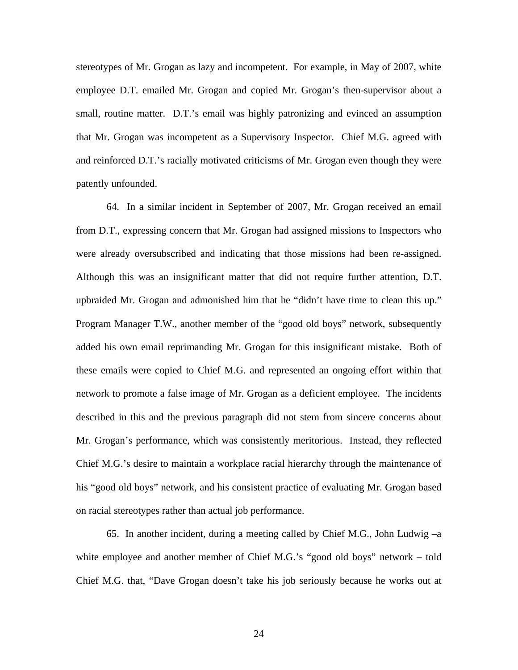stereotypes of Mr. Grogan as lazy and incompetent. For example, in May of 2007, white employee D.T. emailed Mr. Grogan and copied Mr. Grogan's then-supervisor about a small, routine matter. D.T.'s email was highly patronizing and evinced an assumption that Mr. Grogan was incompetent as a Supervisory Inspector. Chief M.G. agreed with and reinforced D.T.'s racially motivated criticisms of Mr. Grogan even though they were patently unfounded.

64. In a similar incident in September of 2007, Mr. Grogan received an email from D.T., expressing concern that Mr. Grogan had assigned missions to Inspectors who were already oversubscribed and indicating that those missions had been re-assigned. Although this was an insignificant matter that did not require further attention, D.T. upbraided Mr. Grogan and admonished him that he "didn't have time to clean this up." Program Manager T.W., another member of the "good old boys" network, subsequently added his own email reprimanding Mr. Grogan for this insignificant mistake. Both of these emails were copied to Chief M.G. and represented an ongoing effort within that network to promote a false image of Mr. Grogan as a deficient employee. The incidents described in this and the previous paragraph did not stem from sincere concerns about Mr. Grogan's performance, which was consistently meritorious. Instead, they reflected Chief M.G.'s desire to maintain a workplace racial hierarchy through the maintenance of his "good old boys" network, and his consistent practice of evaluating Mr. Grogan based on racial stereotypes rather than actual job performance.

65. In another incident, during a meeting called by Chief M.G., John Ludwig –a white employee and another member of Chief M.G.'s "good old boys" network – told Chief M.G. that, "Dave Grogan doesn't take his job seriously because he works out at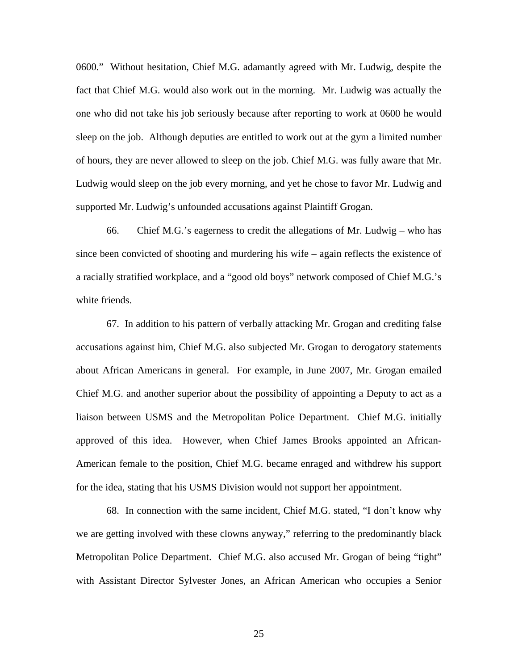0600." Without hesitation, Chief M.G. adamantly agreed with Mr. Ludwig, despite the fact that Chief M.G. would also work out in the morning. Mr. Ludwig was actually the one who did not take his job seriously because after reporting to work at 0600 he would sleep on the job. Although deputies are entitled to work out at the gym a limited number of hours, they are never allowed to sleep on the job. Chief M.G. was fully aware that Mr. Ludwig would sleep on the job every morning, and yet he chose to favor Mr. Ludwig and supported Mr. Ludwig's unfounded accusations against Plaintiff Grogan.

66. Chief M.G.'s eagerness to credit the allegations of Mr. Ludwig – who has since been convicted of shooting and murdering his wife – again reflects the existence of a racially stratified workplace, and a "good old boys" network composed of Chief M.G.'s white friends.

67. In addition to his pattern of verbally attacking Mr. Grogan and crediting false accusations against him, Chief M.G. also subjected Mr. Grogan to derogatory statements about African Americans in general. For example, in June 2007, Mr. Grogan emailed Chief M.G. and another superior about the possibility of appointing a Deputy to act as a liaison between USMS and the Metropolitan Police Department. Chief M.G. initially approved of this idea. However, when Chief James Brooks appointed an African-American female to the position, Chief M.G. became enraged and withdrew his support for the idea, stating that his USMS Division would not support her appointment.

68. In connection with the same incident, Chief M.G. stated, "I don't know why we are getting involved with these clowns anyway," referring to the predominantly black Metropolitan Police Department. Chief M.G. also accused Mr. Grogan of being "tight" with Assistant Director Sylvester Jones, an African American who occupies a Senior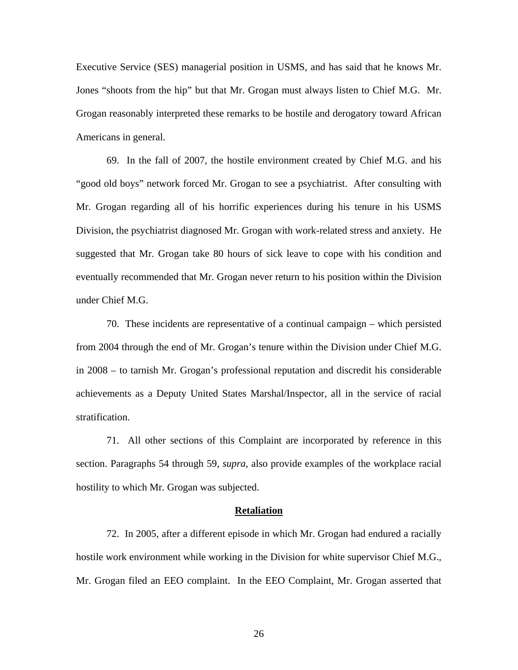Executive Service (SES) managerial position in USMS, and has said that he knows Mr. Jones "shoots from the hip" but that Mr. Grogan must always listen to Chief M.G. Mr. Grogan reasonably interpreted these remarks to be hostile and derogatory toward African Americans in general.

69. In the fall of 2007, the hostile environment created by Chief M.G. and his "good old boys" network forced Mr. Grogan to see a psychiatrist. After consulting with Mr. Grogan regarding all of his horrific experiences during his tenure in his USMS Division, the psychiatrist diagnosed Mr. Grogan with work-related stress and anxiety. He suggested that Mr. Grogan take 80 hours of sick leave to cope with his condition and eventually recommended that Mr. Grogan never return to his position within the Division under Chief M.G.

70. These incidents are representative of a continual campaign – which persisted from 2004 through the end of Mr. Grogan's tenure within the Division under Chief M.G. in 2008 – to tarnish Mr. Grogan's professional reputation and discredit his considerable achievements as a Deputy United States Marshal/Inspector, all in the service of racial stratification.

71. All other sections of this Complaint are incorporated by reference in this section. Paragraphs 54 through 59, *supra*, also provide examples of the workplace racial hostility to which Mr. Grogan was subjected.

#### **Retaliation**

72. In 2005, after a different episode in which Mr. Grogan had endured a racially hostile work environment while working in the Division for white supervisor Chief M.G., Mr. Grogan filed an EEO complaint. In the EEO Complaint, Mr. Grogan asserted that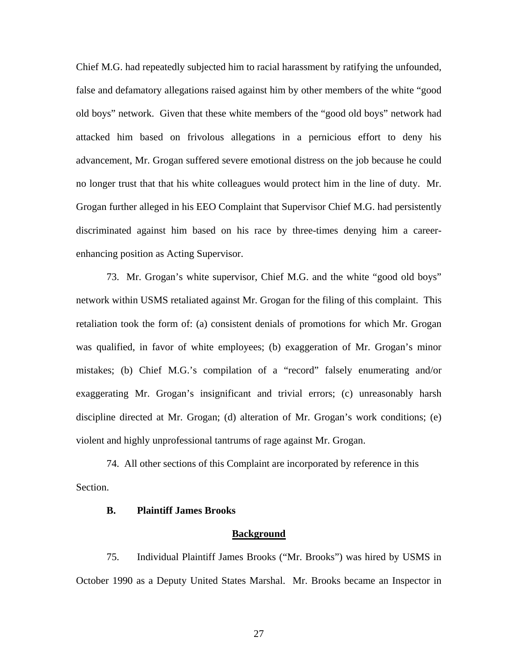Chief M.G. had repeatedly subjected him to racial harassment by ratifying the unfounded, false and defamatory allegations raised against him by other members of the white "good old boys" network. Given that these white members of the "good old boys" network had attacked him based on frivolous allegations in a pernicious effort to deny his advancement, Mr. Grogan suffered severe emotional distress on the job because he could no longer trust that that his white colleagues would protect him in the line of duty. Mr. Grogan further alleged in his EEO Complaint that Supervisor Chief M.G. had persistently discriminated against him based on his race by three-times denying him a careerenhancing position as Acting Supervisor.

73. Mr. Grogan's white supervisor, Chief M.G. and the white "good old boys" network within USMS retaliated against Mr. Grogan for the filing of this complaint. This retaliation took the form of: (a) consistent denials of promotions for which Mr. Grogan was qualified, in favor of white employees; (b) exaggeration of Mr. Grogan's minor mistakes; (b) Chief M.G.'s compilation of a "record" falsely enumerating and/or exaggerating Mr. Grogan's insignificant and trivial errors; (c) unreasonably harsh discipline directed at Mr. Grogan; (d) alteration of Mr. Grogan's work conditions; (e) violent and highly unprofessional tantrums of rage against Mr. Grogan.

 74. All other sections of this Complaint are incorporated by reference in this Section.

## **B. Plaintiff James Brooks**

#### **Background**

75. Individual Plaintiff James Brooks ("Mr. Brooks") was hired by USMS in October 1990 as a Deputy United States Marshal. Mr. Brooks became an Inspector in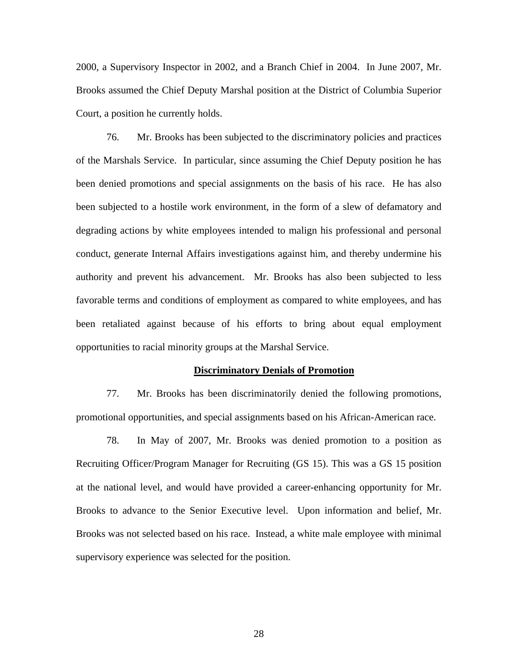2000, a Supervisory Inspector in 2002, and a Branch Chief in 2004. In June 2007, Mr. Brooks assumed the Chief Deputy Marshal position at the District of Columbia Superior Court, a position he currently holds.

76. Mr. Brooks has been subjected to the discriminatory policies and practices of the Marshals Service. In particular, since assuming the Chief Deputy position he has been denied promotions and special assignments on the basis of his race. He has also been subjected to a hostile work environment, in the form of a slew of defamatory and degrading actions by white employees intended to malign his professional and personal conduct, generate Internal Affairs investigations against him, and thereby undermine his authority and prevent his advancement. Mr. Brooks has also been subjected to less favorable terms and conditions of employment as compared to white employees, and has been retaliated against because of his efforts to bring about equal employment opportunities to racial minority groups at the Marshal Service.

#### **Discriminatory Denials of Promotion**

77. Mr. Brooks has been discriminatorily denied the following promotions, promotional opportunities, and special assignments based on his African-American race.

78. In May of 2007, Mr. Brooks was denied promotion to a position as Recruiting Officer/Program Manager for Recruiting (GS 15). This was a GS 15 position at the national level, and would have provided a career-enhancing opportunity for Mr. Brooks to advance to the Senior Executive level. Upon information and belief, Mr. Brooks was not selected based on his race. Instead, a white male employee with minimal supervisory experience was selected for the position.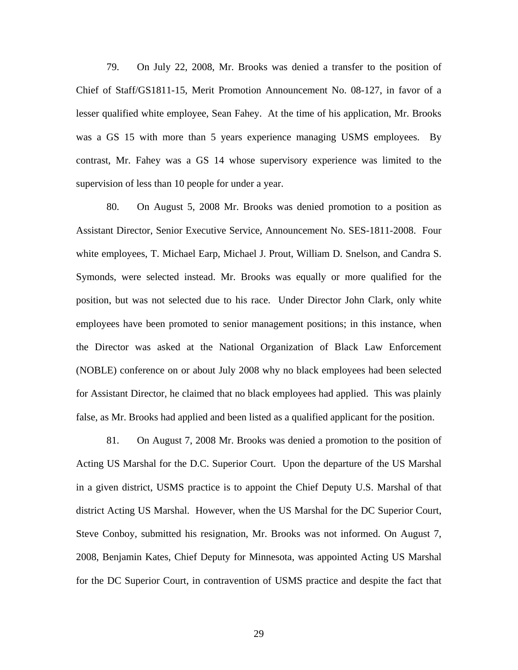79. On July 22, 2008, Mr. Brooks was denied a transfer to the position of Chief of Staff/GS1811-15, Merit Promotion Announcement No. 08-127, in favor of a lesser qualified white employee, Sean Fahey. At the time of his application, Mr. Brooks was a GS 15 with more than 5 years experience managing USMS employees. By contrast, Mr. Fahey was a GS 14 whose supervisory experience was limited to the supervision of less than 10 people for under a year.

80. On August 5, 2008 Mr. Brooks was denied promotion to a position as Assistant Director, Senior Executive Service, Announcement No. SES-1811-2008. Four white employees, T. Michael Earp, Michael J. Prout, William D. Snelson, and Candra S. Symonds, were selected instead. Mr. Brooks was equally or more qualified for the position, but was not selected due to his race. Under Director John Clark, only white employees have been promoted to senior management positions; in this instance, when the Director was asked at the National Organization of Black Law Enforcement (NOBLE) conference on or about July 2008 why no black employees had been selected for Assistant Director, he claimed that no black employees had applied. This was plainly false, as Mr. Brooks had applied and been listed as a qualified applicant for the position.

81. On August 7, 2008 Mr. Brooks was denied a promotion to the position of Acting US Marshal for the D.C. Superior Court. Upon the departure of the US Marshal in a given district, USMS practice is to appoint the Chief Deputy U.S. Marshal of that district Acting US Marshal. However, when the US Marshal for the DC Superior Court, Steve Conboy, submitted his resignation, Mr. Brooks was not informed. On August 7, 2008, Benjamin Kates, Chief Deputy for Minnesota, was appointed Acting US Marshal for the DC Superior Court, in contravention of USMS practice and despite the fact that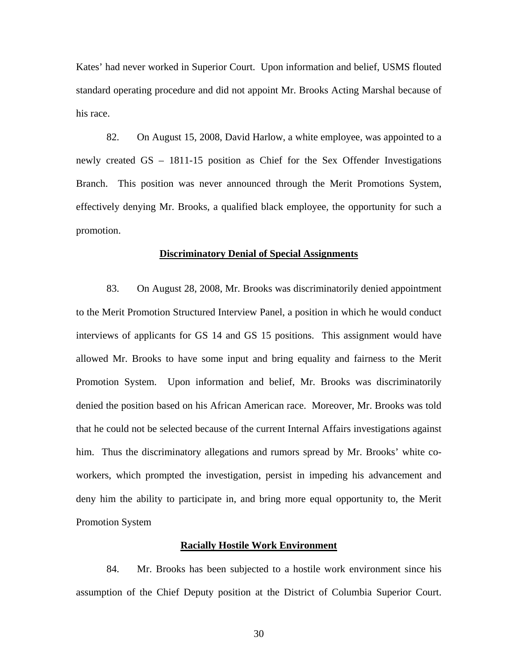Kates' had never worked in Superior Court. Upon information and belief, USMS flouted standard operating procedure and did not appoint Mr. Brooks Acting Marshal because of his race.

82. On August 15, 2008, David Harlow, a white employee, was appointed to a newly created GS – 1811-15 position as Chief for the Sex Offender Investigations Branch. This position was never announced through the Merit Promotions System, effectively denying Mr. Brooks, a qualified black employee, the opportunity for such a promotion.

## **Discriminatory Denial of Special Assignments**

83. On August 28, 2008, Mr. Brooks was discriminatorily denied appointment to the Merit Promotion Structured Interview Panel, a position in which he would conduct interviews of applicants for GS 14 and GS 15 positions. This assignment would have allowed Mr. Brooks to have some input and bring equality and fairness to the Merit Promotion System. Upon information and belief, Mr. Brooks was discriminatorily denied the position based on his African American race. Moreover, Mr. Brooks was told that he could not be selected because of the current Internal Affairs investigations against him. Thus the discriminatory allegations and rumors spread by Mr. Brooks' white coworkers, which prompted the investigation, persist in impeding his advancement and deny him the ability to participate in, and bring more equal opportunity to, the Merit Promotion System

### **Racially Hostile Work Environment**

84. Mr. Brooks has been subjected to a hostile work environment since his assumption of the Chief Deputy position at the District of Columbia Superior Court.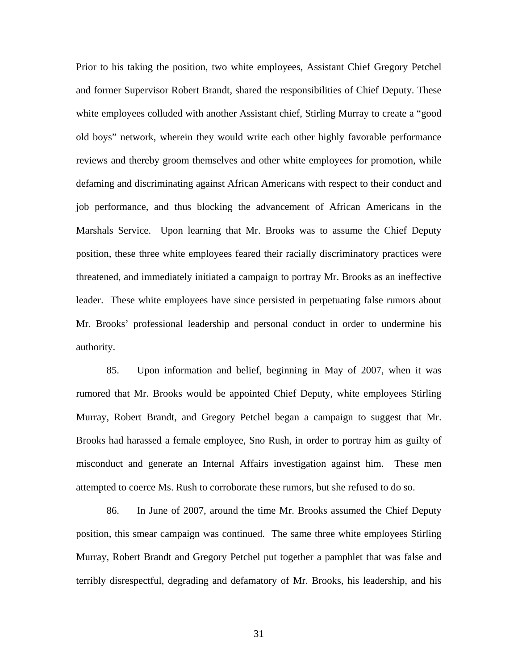Prior to his taking the position, two white employees, Assistant Chief Gregory Petchel and former Supervisor Robert Brandt, shared the responsibilities of Chief Deputy. These white employees colluded with another Assistant chief, Stirling Murray to create a "good old boys" network, wherein they would write each other highly favorable performance reviews and thereby groom themselves and other white employees for promotion, while defaming and discriminating against African Americans with respect to their conduct and job performance, and thus blocking the advancement of African Americans in the Marshals Service. Upon learning that Mr. Brooks was to assume the Chief Deputy position, these three white employees feared their racially discriminatory practices were threatened, and immediately initiated a campaign to portray Mr. Brooks as an ineffective leader. These white employees have since persisted in perpetuating false rumors about Mr. Brooks' professional leadership and personal conduct in order to undermine his authority.

85. Upon information and belief, beginning in May of 2007, when it was rumored that Mr. Brooks would be appointed Chief Deputy, white employees Stirling Murray, Robert Brandt, and Gregory Petchel began a campaign to suggest that Mr. Brooks had harassed a female employee, Sno Rush, in order to portray him as guilty of misconduct and generate an Internal Affairs investigation against him. These men attempted to coerce Ms. Rush to corroborate these rumors, but she refused to do so.

86. In June of 2007, around the time Mr. Brooks assumed the Chief Deputy position, this smear campaign was continued. The same three white employees Stirling Murray, Robert Brandt and Gregory Petchel put together a pamphlet that was false and terribly disrespectful, degrading and defamatory of Mr. Brooks, his leadership, and his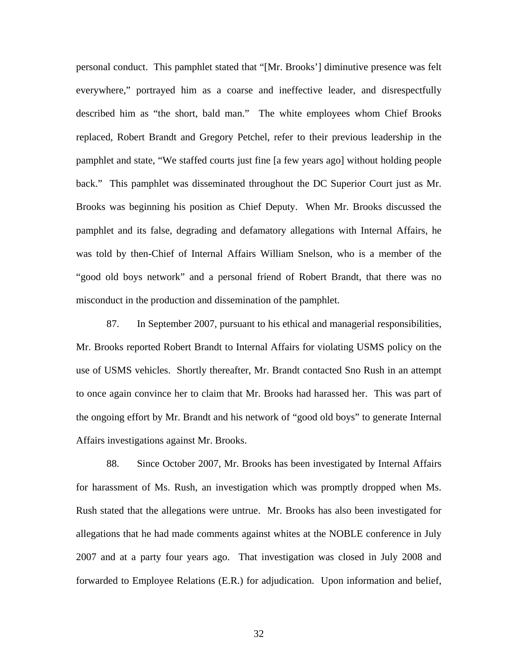personal conduct. This pamphlet stated that "[Mr. Brooks'] diminutive presence was felt everywhere," portrayed him as a coarse and ineffective leader, and disrespectfully described him as "the short, bald man." The white employees whom Chief Brooks replaced, Robert Brandt and Gregory Petchel, refer to their previous leadership in the pamphlet and state, "We staffed courts just fine [a few years ago] without holding people back." This pamphlet was disseminated throughout the DC Superior Court just as Mr. Brooks was beginning his position as Chief Deputy. When Mr. Brooks discussed the pamphlet and its false, degrading and defamatory allegations with Internal Affairs, he was told by then-Chief of Internal Affairs William Snelson, who is a member of the "good old boys network" and a personal friend of Robert Brandt, that there was no misconduct in the production and dissemination of the pamphlet.

87. In September 2007, pursuant to his ethical and managerial responsibilities, Mr. Brooks reported Robert Brandt to Internal Affairs for violating USMS policy on the use of USMS vehicles. Shortly thereafter, Mr. Brandt contacted Sno Rush in an attempt to once again convince her to claim that Mr. Brooks had harassed her. This was part of the ongoing effort by Mr. Brandt and his network of "good old boys" to generate Internal Affairs investigations against Mr. Brooks.

88. Since October 2007, Mr. Brooks has been investigated by Internal Affairs for harassment of Ms. Rush, an investigation which was promptly dropped when Ms. Rush stated that the allegations were untrue. Mr. Brooks has also been investigated for allegations that he had made comments against whites at the NOBLE conference in July 2007 and at a party four years ago. That investigation was closed in July 2008 and forwarded to Employee Relations (E.R.) for adjudication. Upon information and belief,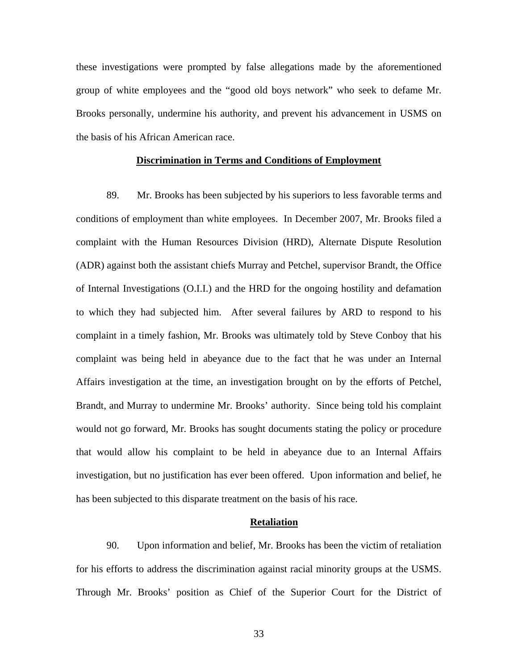these investigations were prompted by false allegations made by the aforementioned group of white employees and the "good old boys network" who seek to defame Mr. Brooks personally, undermine his authority, and prevent his advancement in USMS on the basis of his African American race.

## **Discrimination in Terms and Conditions of Employment**

89. Mr. Brooks has been subjected by his superiors to less favorable terms and conditions of employment than white employees. In December 2007, Mr. Brooks filed a complaint with the Human Resources Division (HRD), Alternate Dispute Resolution (ADR) against both the assistant chiefs Murray and Petchel, supervisor Brandt, the Office of Internal Investigations (O.I.I.) and the HRD for the ongoing hostility and defamation to which they had subjected him. After several failures by ARD to respond to his complaint in a timely fashion, Mr. Brooks was ultimately told by Steve Conboy that his complaint was being held in abeyance due to the fact that he was under an Internal Affairs investigation at the time, an investigation brought on by the efforts of Petchel, Brandt, and Murray to undermine Mr. Brooks' authority. Since being told his complaint would not go forward, Mr. Brooks has sought documents stating the policy or procedure that would allow his complaint to be held in abeyance due to an Internal Affairs investigation, but no justification has ever been offered. Upon information and belief, he has been subjected to this disparate treatment on the basis of his race.

#### **Retaliation**

90. Upon information and belief, Mr. Brooks has been the victim of retaliation for his efforts to address the discrimination against racial minority groups at the USMS. Through Mr. Brooks' position as Chief of the Superior Court for the District of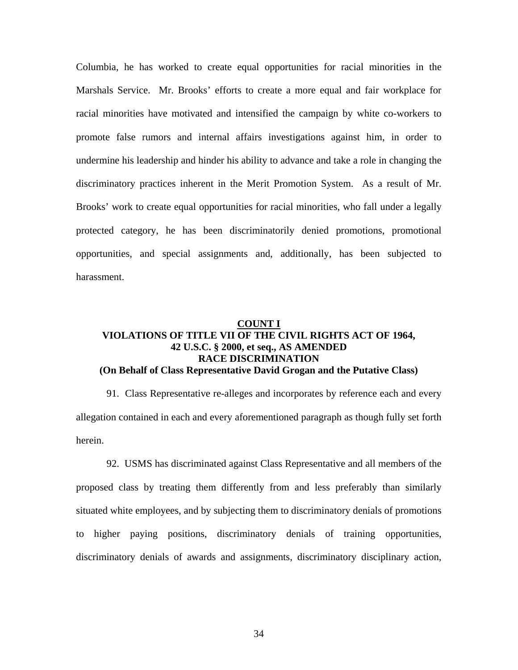Columbia, he has worked to create equal opportunities for racial minorities in the Marshals Service. Mr. Brooks' efforts to create a more equal and fair workplace for racial minorities have motivated and intensified the campaign by white co-workers to promote false rumors and internal affairs investigations against him, in order to undermine his leadership and hinder his ability to advance and take a role in changing the discriminatory practices inherent in the Merit Promotion System. As a result of Mr. Brooks' work to create equal opportunities for racial minorities, who fall under a legally protected category, he has been discriminatorily denied promotions, promotional opportunities, and special assignments and, additionally, has been subjected to harassment.

## **COUNT I VIOLATIONS OF TITLE VII OF THE CIVIL RIGHTS ACT OF 1964, 42 U.S.C. § 2000, et seq., AS AMENDED RACE DISCRIMINATION (On Behalf of Class Representative David Grogan and the Putative Class)**

91. Class Representative re-alleges and incorporates by reference each and every allegation contained in each and every aforementioned paragraph as though fully set forth herein.

 92. USMS has discriminated against Class Representative and all members of the proposed class by treating them differently from and less preferably than similarly situated white employees, and by subjecting them to discriminatory denials of promotions to higher paying positions, discriminatory denials of training opportunities, discriminatory denials of awards and assignments, discriminatory disciplinary action,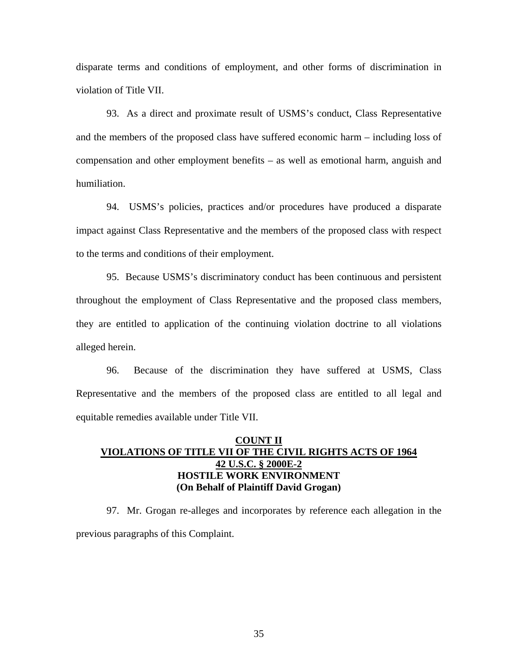disparate terms and conditions of employment, and other forms of discrimination in violation of Title VII.

 93. As a direct and proximate result of USMS's conduct, Class Representative and the members of the proposed class have suffered economic harm – including loss of compensation and other employment benefits – as well as emotional harm, anguish and humiliation.

 94. USMS's policies, practices and/or procedures have produced a disparate impact against Class Representative and the members of the proposed class with respect to the terms and conditions of their employment.

 95. Because USMS's discriminatory conduct has been continuous and persistent throughout the employment of Class Representative and the proposed class members, they are entitled to application of the continuing violation doctrine to all violations alleged herein.

 96. Because of the discrimination they have suffered at USMS, Class Representative and the members of the proposed class are entitled to all legal and equitable remedies available under Title VII.

## **COUNT II VIOLATIONS OF TITLE VII OF THE CIVIL RIGHTS ACTS OF 1964 42 U.S.C. § 2000E-2 HOSTILE WORK ENVIRONMENT (On Behalf of Plaintiff David Grogan)**

97. Mr. Grogan re-alleges and incorporates by reference each allegation in the previous paragraphs of this Complaint.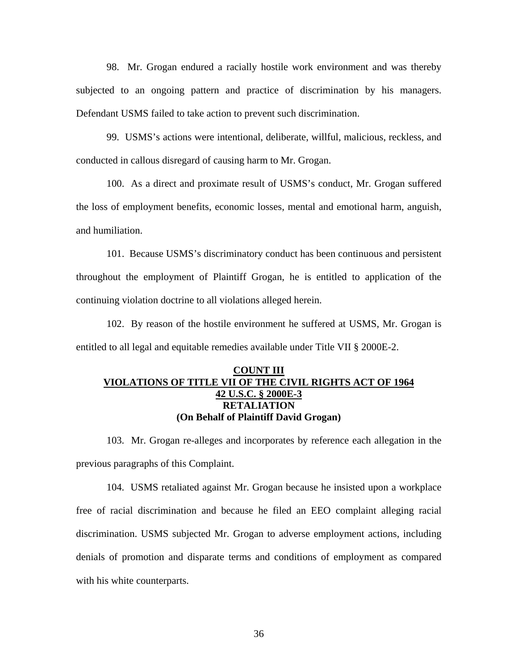98. Mr. Grogan endured a racially hostile work environment and was thereby subjected to an ongoing pattern and practice of discrimination by his managers. Defendant USMS failed to take action to prevent such discrimination.

99. USMS's actions were intentional, deliberate, willful, malicious, reckless, and conducted in callous disregard of causing harm to Mr. Grogan.

100. As a direct and proximate result of USMS's conduct, Mr. Grogan suffered the loss of employment benefits, economic losses, mental and emotional harm, anguish, and humiliation.

 101. Because USMS's discriminatory conduct has been continuous and persistent throughout the employment of Plaintiff Grogan, he is entitled to application of the continuing violation doctrine to all violations alleged herein.

102. By reason of the hostile environment he suffered at USMS, Mr. Grogan is entitled to all legal and equitable remedies available under Title VII § 2000E-2.

## **COUNT III VIOLATIONS OF TITLE VII OF THE CIVIL RIGHTS ACT OF 1964 42 U.S.C. § 2000E-3 RETALIATION (On Behalf of Plaintiff David Grogan)**

103. Mr. Grogan re-alleges and incorporates by reference each allegation in the previous paragraphs of this Complaint.

104. USMS retaliated against Mr. Grogan because he insisted upon a workplace free of racial discrimination and because he filed an EEO complaint alleging racial discrimination. USMS subjected Mr. Grogan to adverse employment actions, including denials of promotion and disparate terms and conditions of employment as compared with his white counterparts.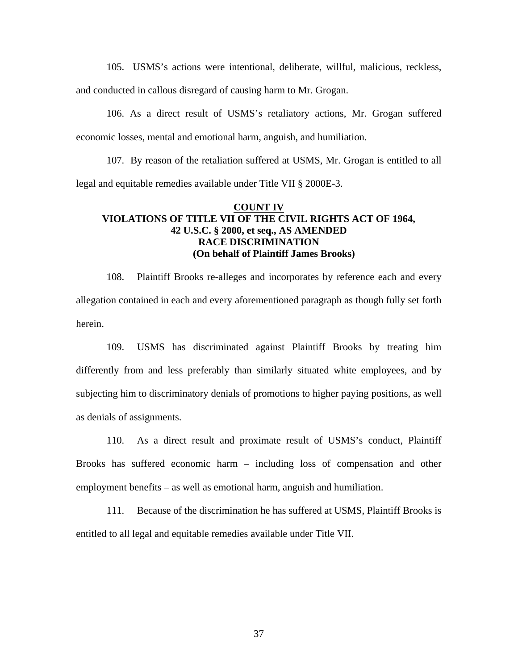105. USMS's actions were intentional, deliberate, willful, malicious, reckless,

and conducted in callous disregard of causing harm to Mr. Grogan.

106. As a direct result of USMS's retaliatory actions, Mr. Grogan suffered economic losses, mental and emotional harm, anguish, and humiliation.

107. By reason of the retaliation suffered at USMS, Mr. Grogan is entitled to all legal and equitable remedies available under Title VII § 2000E-3.

## **COUNT IV VIOLATIONS OF TITLE VII OF THE CIVIL RIGHTS ACT OF 1964, 42 U.S.C. § 2000, et seq., AS AMENDED RACE DISCRIMINATION (On behalf of Plaintiff James Brooks)**

108. Plaintiff Brooks re-alleges and incorporates by reference each and every allegation contained in each and every aforementioned paragraph as though fully set forth herein.

109. USMS has discriminated against Plaintiff Brooks by treating him differently from and less preferably than similarly situated white employees, and by subjecting him to discriminatory denials of promotions to higher paying positions, as well as denials of assignments.

110. As a direct result and proximate result of USMS's conduct, Plaintiff Brooks has suffered economic harm – including loss of compensation and other employment benefits – as well as emotional harm, anguish and humiliation.

111. Because of the discrimination he has suffered at USMS, Plaintiff Brooks is entitled to all legal and equitable remedies available under Title VII.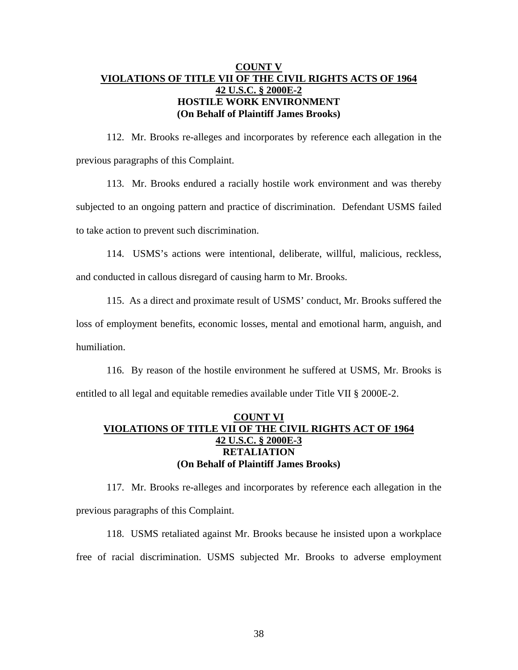## **COUNT V VIOLATIONS OF TITLE VII OF THE CIVIL RIGHTS ACTS OF 1964 42 U.S.C. § 2000E-2 HOSTILE WORK ENVIRONMENT (On Behalf of Plaintiff James Brooks)**

112. Mr. Brooks re-alleges and incorporates by reference each allegation in the previous paragraphs of this Complaint.

113. Mr. Brooks endured a racially hostile work environment and was thereby subjected to an ongoing pattern and practice of discrimination. Defendant USMS failed to take action to prevent such discrimination.

114. USMS's actions were intentional, deliberate, willful, malicious, reckless,

and conducted in callous disregard of causing harm to Mr. Brooks.

115. As a direct and proximate result of USMS' conduct, Mr. Brooks suffered the loss of employment benefits, economic losses, mental and emotional harm, anguish, and humiliation.

116. By reason of the hostile environment he suffered at USMS, Mr. Brooks is entitled to all legal and equitable remedies available under Title VII § 2000E-2.

## **COUNT VI VIOLATIONS OF TITLE VII OF THE CIVIL RIGHTS ACT OF 1964 42 U.S.C. § 2000E-3 RETALIATION (On Behalf of Plaintiff James Brooks)**

117. Mr. Brooks re-alleges and incorporates by reference each allegation in the previous paragraphs of this Complaint.

118. USMS retaliated against Mr. Brooks because he insisted upon a workplace free of racial discrimination. USMS subjected Mr. Brooks to adverse employment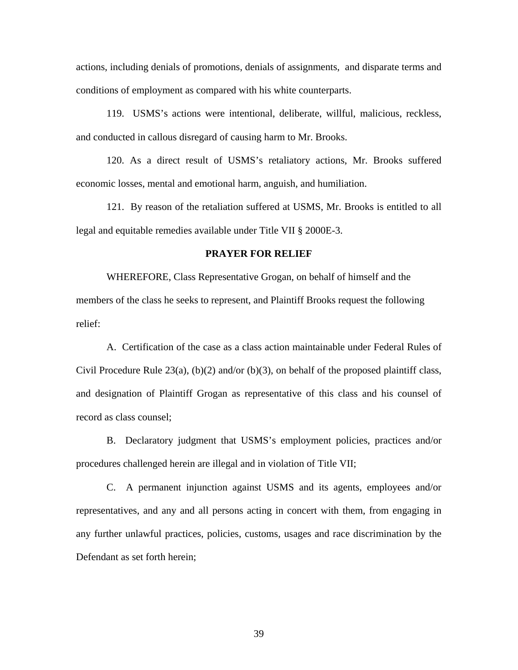actions, including denials of promotions, denials of assignments, and disparate terms and conditions of employment as compared with his white counterparts.

119. USMS's actions were intentional, deliberate, willful, malicious, reckless, and conducted in callous disregard of causing harm to Mr. Brooks.

120. As a direct result of USMS's retaliatory actions, Mr. Brooks suffered economic losses, mental and emotional harm, anguish, and humiliation.

121. By reason of the retaliation suffered at USMS, Mr. Brooks is entitled to all legal and equitable remedies available under Title VII § 2000E-3.

## **PRAYER FOR RELIEF**

 WHEREFORE, Class Representative Grogan, on behalf of himself and the members of the class he seeks to represent, and Plaintiff Brooks request the following relief:

A. Certification of the case as a class action maintainable under Federal Rules of Civil Procedure Rule 23(a), (b)(2) and/or (b)(3), on behalf of the proposed plaintiff class, and designation of Plaintiff Grogan as representative of this class and his counsel of record as class counsel;

B. Declaratory judgment that USMS's employment policies, practices and/or procedures challenged herein are illegal and in violation of Title VII;

C. A permanent injunction against USMS and its agents, employees and/or representatives, and any and all persons acting in concert with them, from engaging in any further unlawful practices, policies, customs, usages and race discrimination by the Defendant as set forth herein;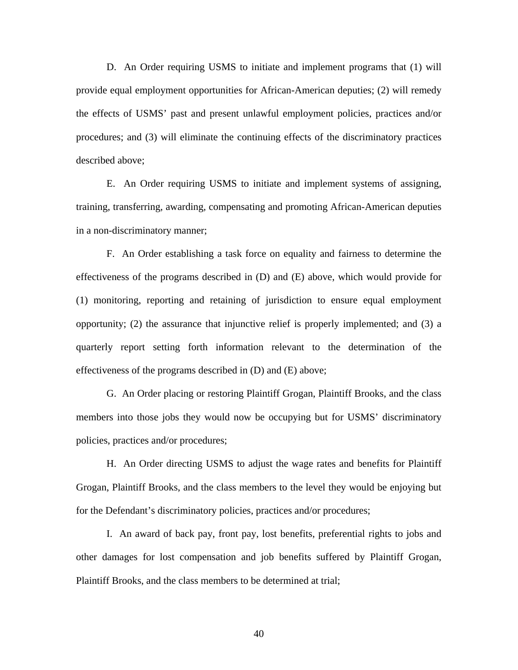D. An Order requiring USMS to initiate and implement programs that (1) will provide equal employment opportunities for African-American deputies; (2) will remedy the effects of USMS' past and present unlawful employment policies, practices and/or procedures; and (3) will eliminate the continuing effects of the discriminatory practices described above;

E. An Order requiring USMS to initiate and implement systems of assigning, training, transferring, awarding, compensating and promoting African-American deputies in a non-discriminatory manner;

F. An Order establishing a task force on equality and fairness to determine the effectiveness of the programs described in (D) and (E) above, which would provide for (1) monitoring, reporting and retaining of jurisdiction to ensure equal employment opportunity; (2) the assurance that injunctive relief is properly implemented; and (3) a quarterly report setting forth information relevant to the determination of the effectiveness of the programs described in (D) and (E) above;

G. An Order placing or restoring Plaintiff Grogan, Plaintiff Brooks, and the class members into those jobs they would now be occupying but for USMS' discriminatory policies, practices and/or procedures;

H. An Order directing USMS to adjust the wage rates and benefits for Plaintiff Grogan, Plaintiff Brooks, and the class members to the level they would be enjoying but for the Defendant's discriminatory policies, practices and/or procedures;

I. An award of back pay, front pay, lost benefits, preferential rights to jobs and other damages for lost compensation and job benefits suffered by Plaintiff Grogan, Plaintiff Brooks, and the class members to be determined at trial;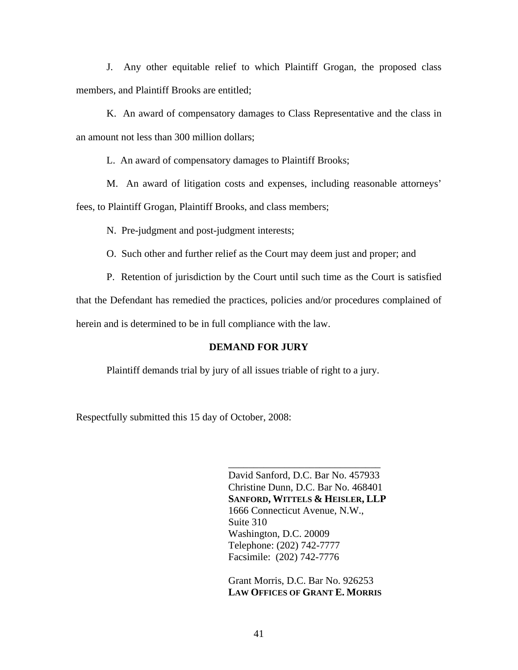J. Any other equitable relief to which Plaintiff Grogan, the proposed class members, and Plaintiff Brooks are entitled;

K. An award of compensatory damages to Class Representative and the class in an amount not less than 300 million dollars;

L. An award of compensatory damages to Plaintiff Brooks;

M. An award of litigation costs and expenses, including reasonable attorneys' fees, to Plaintiff Grogan, Plaintiff Brooks, and class members;

N. Pre-judgment and post-judgment interests;

O. Such other and further relief as the Court may deem just and proper; and

P. Retention of jurisdiction by the Court until such time as the Court is satisfied

that the Defendant has remedied the practices, policies and/or procedures complained of

herein and is determined to be in full compliance with the law.

## **DEMAND FOR JURY**

Plaintiff demands trial by jury of all issues triable of right to a jury.

Respectfully submitted this 15 day of October, 2008:

David Sanford, D.C. Bar No. 457933 Christine Dunn, D.C. Bar No. 468401 **SANFORD, WITTELS & HEISLER, LLP** 1666 Connecticut Avenue, N.W., Suite 310 Washington, D.C. 20009 Telephone: (202) 742-7777 Facsimile: (202) 742-7776

\_\_\_\_\_\_\_\_\_\_\_\_\_\_\_\_\_\_\_\_\_\_\_\_\_\_\_\_\_\_

Grant Morris, D.C. Bar No. 926253 **LAW OFFICES OF GRANT E. MORRIS**